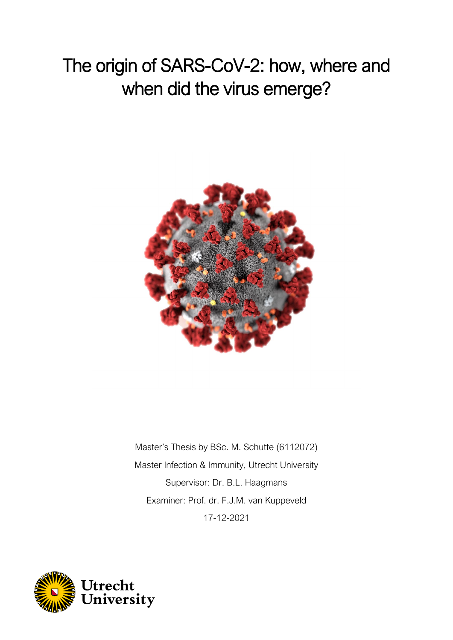# The origin of SARS-CoV-2: how, where and when did the virus emerge?



Master's Thesis by BSc. M. Schutte (6112072) Master Infection & Immunity, Utrecht University Supervisor: Dr. B.L. Haagmans Examiner: Prof. dr. F.J.M. van Kuppeveld 17-12-2021

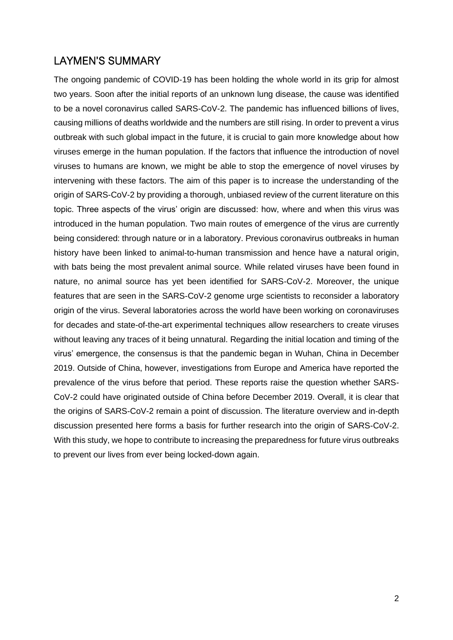#### LAYMEN'S SUMMARY

The ongoing pandemic of COVID-19 has been holding the whole world in its grip for almost two years. Soon after the initial reports of an unknown lung disease, the cause was identified to be a novel coronavirus called SARS-CoV-2. The pandemic has influenced billions of lives, causing millions of deaths worldwide and the numbers are still rising. In order to prevent a virus outbreak with such global impact in the future, it is crucial to gain more knowledge about how viruses emerge in the human population. If the factors that influence the introduction of novel viruses to humans are known, we might be able to stop the emergence of novel viruses by intervening with these factors. The aim of this paper is to increase the understanding of the origin of SARS-CoV-2 by providing a thorough, unbiased review of the current literature on this topic. Three aspects of the virus' origin are discussed: how, where and when this virus was introduced in the human population. Two main routes of emergence of the virus are currently being considered: through nature or in a laboratory. Previous coronavirus outbreaks in human history have been linked to animal-to-human transmission and hence have a natural origin, with bats being the most prevalent animal source. While related viruses have been found in nature, no animal source has yet been identified for SARS-CoV-2. Moreover, the unique features that are seen in the SARS-CoV-2 genome urge scientists to reconsider a laboratory origin of the virus. Several laboratories across the world have been working on coronaviruses for decades and state-of-the-art experimental techniques allow researchers to create viruses without leaving any traces of it being unnatural. Regarding the initial location and timing of the virus' emergence, the consensus is that the pandemic began in Wuhan, China in December 2019. Outside of China, however, investigations from Europe and America have reported the prevalence of the virus before that period. These reports raise the question whether SARS-CoV-2 could have originated outside of China before December 2019. Overall, it is clear that the origins of SARS-CoV-2 remain a point of discussion. The literature overview and in-depth discussion presented here forms a basis for further research into the origin of SARS-CoV-2. With this study, we hope to contribute to increasing the preparedness for future virus outbreaks to prevent our lives from ever being locked-down again.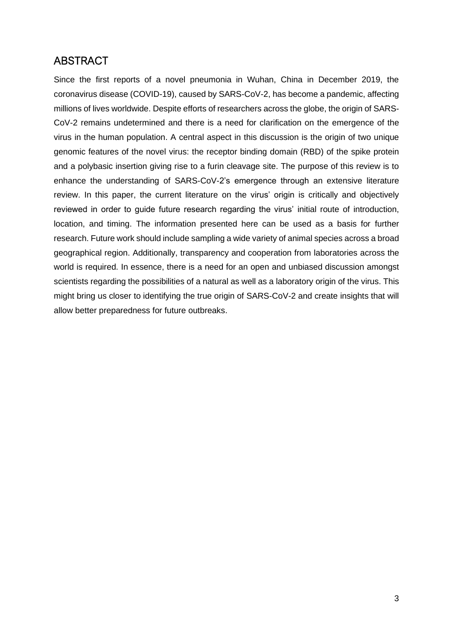# ABSTRACT

Since the first reports of a novel pneumonia in Wuhan, China in December 2019, the coronavirus disease (COVID-19), caused by SARS-CoV-2, has become a pandemic, affecting millions of lives worldwide. Despite efforts of researchers across the globe, the origin of SARS-CoV-2 remains undetermined and there is a need for clarification on the emergence of the virus in the human population. A central aspect in this discussion is the origin of two unique genomic features of the novel virus: the receptor binding domain (RBD) of the spike protein and a polybasic insertion giving rise to a furin cleavage site. The purpose of this review is to enhance the understanding of SARS-CoV-2's emergence through an extensive literature review. In this paper, the current literature on the virus' origin is critically and objectively reviewed in order to guide future research regarding the virus' initial route of introduction, location, and timing. The information presented here can be used as a basis for further research. Future work should include sampling a wide variety of animal species across a broad geographical region. Additionally, transparency and cooperation from laboratories across the world is required. In essence, there is a need for an open and unbiased discussion amongst scientists regarding the possibilities of a natural as well as a laboratory origin of the virus. This might bring us closer to identifying the true origin of SARS-CoV-2 and create insights that will allow better preparedness for future outbreaks.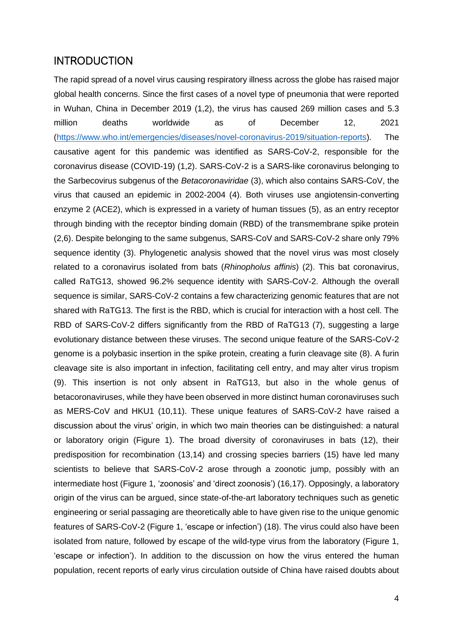#### **INTRODUCTION**

The rapid spread of a novel virus causing respiratory illness across the globe has raised major global health concerns. Since the first cases of a novel type of pneumonia that were reported in Wuhan, China in December 2019 (1,2), the virus has caused 269 million cases and 5.3 million deaths worldwide as of December 12, 2021 [\(https://www.who.int/emergencies/diseases/novel-coronavirus-2019/situation-reports\)](https://www.who.int/emergencies/diseases/novel-coronavirus-2019/situation-reports). The causative agent for this pandemic was identified as SARS-CoV-2, responsible for the coronavirus disease (COVID-19) (1,2). SARS-CoV-2 is a SARS-like coronavirus belonging to the Sarbecovirus subgenus of the *Betacoronaviridae* (3), which also contains SARS-CoV, the virus that caused an epidemic in 2002-2004 (4). Both viruses use angiotensin-converting enzyme 2 (ACE2), which is expressed in a variety of human tissues (5), as an entry receptor through binding with the receptor binding domain (RBD) of the transmembrane spike protein (2,6). Despite belonging to the same subgenus, SARS-CoV and SARS-CoV-2 share only 79% sequence identity (3). Phylogenetic analysis showed that the novel virus was most closely related to a coronavirus isolated from bats (*Rhinopholus affinis*) (2). This bat coronavirus, called RaTG13, showed 96.2% sequence identity with SARS-CoV-2. Although the overall sequence is similar, SARS-CoV-2 contains a few characterizing genomic features that are not shared with RaTG13. The first is the RBD, which is crucial for interaction with a host cell. The RBD of SARS-CoV-2 differs significantly from the RBD of RaTG13 (7), suggesting a large evolutionary distance between these viruses. The second unique feature of the SARS-CoV-2 genome is a polybasic insertion in the spike protein, creating a furin cleavage site (8). A furin cleavage site is also important in infection, facilitating cell entry, and may alter virus tropism (9). This insertion is not only absent in RaTG13, but also in the whole genus of betacoronaviruses, while they have been observed in more distinct human coronaviruses such as MERS-CoV and HKU1 (10,11). These unique features of SARS-CoV-2 have raised a discussion about the virus' origin, in which two main theories can be distinguished: a natural or laboratory origin [\(Figure 1\)](#page-4-0). The broad diversity of coronaviruses in bats (12), their predisposition for recombination (13,14) and crossing species barriers (15) have led many scientists to believe that SARS-CoV-2 arose through a zoonotic jump, possibly with an intermediate host [\(Figure 1,](#page-4-0) 'zoonosis' and 'direct zoonosis') (16,17). Opposingly, a laboratory origin of the virus can be argued, since state-of-the-art laboratory techniques such as genetic engineering or serial passaging are theoretically able to have given rise to the unique genomic features of SARS-CoV-2 [\(Figure 1,](#page-4-0) 'escape or infection') (18). The virus could also have been isolated from nature, followed by escape of the wild-type virus from the laboratory [\(Figure 1,](#page-4-0) 'escape or infection'). In addition to the discussion on how the virus entered the human population, recent reports of early virus circulation outside of China have raised doubts about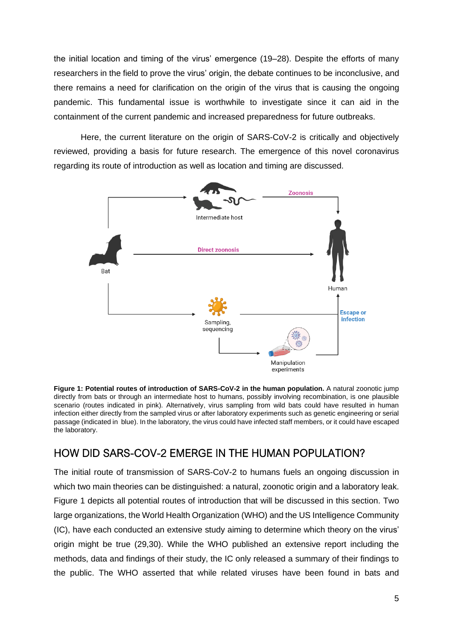the initial location and timing of the virus' emergence (19–28). Despite the efforts of many researchers in the field to prove the virus' origin, the debate continues to be inconclusive, and there remains a need for clarification on the origin of the virus that is causing the ongoing pandemic. This fundamental issue is worthwhile to investigate since it can aid in the containment of the current pandemic and increased preparedness for future outbreaks.

Here, the current literature on the origin of SARS-CoV-2 is critically and objectively reviewed, providing a basis for future research. The emergence of this novel coronavirus regarding its route of introduction as well as location and timing are discussed.



<span id="page-4-0"></span>**Figure 1: Potential routes of introduction of SARS-CoV-2 in the human population.** A natural zoonotic jump directly from bats or through an intermediate host to humans, possibly involving recombination, is one plausible scenario (routes indicated in pink). Alternatively, virus sampling from wild bats could have resulted in human infection either directly from the sampled virus or after laboratory experiments such as genetic engineering or serial passage (indicated in blue). In the laboratory, the virus could have infected staff members, or it could have escaped the laboratory.

### HOW DID SARS-COV-2 EMERGE IN THE HUMAN POPULATION?

The initial route of transmission of SARS-CoV-2 to humans fuels an ongoing discussion in which two main theories can be distinguished: a natural, zoonotic origin and a laboratory leak. [Figure 1](#page-4-0) depicts all potential routes of introduction that will be discussed in this section. Two large organizations, the World Health Organization (WHO) and the US Intelligence Community (IC), have each conducted an extensive study aiming to determine which theory on the virus' origin might be true (29,30). While the WHO published an extensive report including the methods, data and findings of their study, the IC only released a summary of their findings to the public. The WHO asserted that while related viruses have been found in bats and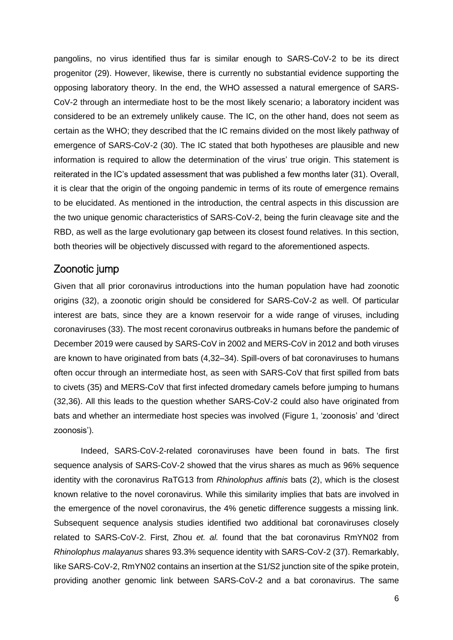pangolins, no virus identified thus far is similar enough to SARS-CoV-2 to be its direct progenitor (29). However, likewise, there is currently no substantial evidence supporting the opposing laboratory theory. In the end, the WHO assessed a natural emergence of SARS-CoV-2 through an intermediate host to be the most likely scenario; a laboratory incident was considered to be an extremely unlikely cause. The IC, on the other hand, does not seem as certain as the WHO; they described that the IC remains divided on the most likely pathway of emergence of SARS-CoV-2 (30). The IC stated that both hypotheses are plausible and new information is required to allow the determination of the virus' true origin. This statement is reiterated in the IC's updated assessment that was published a few months later (31). Overall, it is clear that the origin of the ongoing pandemic in terms of its route of emergence remains to be elucidated. As mentioned in the introduction, the central aspects in this discussion are the two unique genomic characteristics of SARS-CoV-2, being the furin cleavage site and the RBD, as well as the large evolutionary gap between its closest found relatives. In this section, both theories will be objectively discussed with regard to the aforementioned aspects.

#### Zoonotic jump

Given that all prior coronavirus introductions into the human population have had zoonotic origins (32), a zoonotic origin should be considered for SARS-CoV-2 as well. Of particular interest are bats, since they are a known reservoir for a wide range of viruses, including coronaviruses (33). The most recent coronavirus outbreaks in humans before the pandemic of December 2019 were caused by SARS-CoV in 2002 and MERS-CoV in 2012 and both viruses are known to have originated from bats (4,32–34). Spill-overs of bat coronaviruses to humans often occur through an intermediate host, as seen with SARS-CoV that first spilled from bats to civets (35) and MERS-CoV that first infected dromedary camels before jumping to humans (32,36). All this leads to the question whether SARS-CoV-2 could also have originated from bats and whether an intermediate host species was involved [\(Figure 1,](#page-4-0) 'zoonosis' and 'direct zoonosis').

Indeed, SARS-CoV-2-related coronaviruses have been found in bats. The first sequence analysis of SARS-CoV-2 showed that the virus shares as much as 96% sequence identity with the coronavirus RaTG13 from *Rhinolophus affinis* bats (2), which is the closest known relative to the novel coronavirus. While this similarity implies that bats are involved in the emergence of the novel coronavirus, the 4% genetic difference suggests a missing link. Subsequent sequence analysis studies identified two additional bat coronaviruses closely related to SARS-CoV-2. First, Zhou *et. al.* found that the bat coronavirus RmYN02 from *Rhinolophus malayanus* shares 93.3% sequence identity with SARS-CoV-2 (37). Remarkably, like SARS-CoV-2, RmYN02 contains an insertion at the S1/S2 junction site of the spike protein, providing another genomic link between SARS-CoV-2 and a bat coronavirus. The same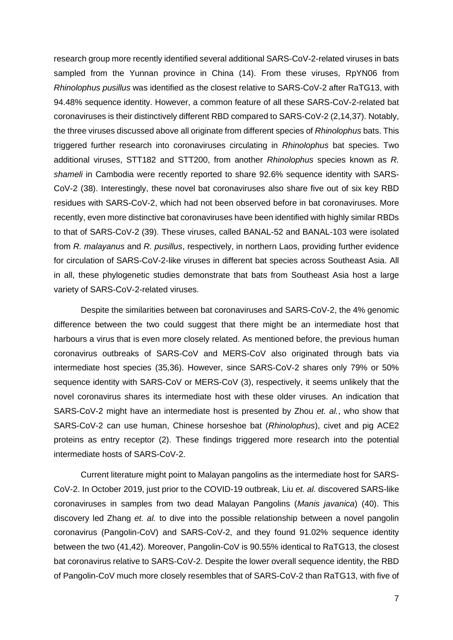research group more recently identified several additional SARS-CoV-2-related viruses in bats sampled from the Yunnan province in China (14). From these viruses, RpYN06 from *Rhinolophus pusillus* was identified as the closest relative to SARS-CoV-2 after RaTG13, with 94.48% sequence identity. However, a common feature of all these SARS-CoV-2-related bat coronaviruses is their distinctively different RBD compared to SARS-CoV-2 (2,14,37). Notably, the three viruses discussed above all originate from different species of *Rhinolophus* bats. This triggered further research into coronaviruses circulating in *Rhinolophus* bat species. Two additional viruses, STT182 and STT200, from another *Rhinolophus* species known as *R. shameli* in Cambodia were recently reported to share 92.6% sequence identity with SARS-CoV-2 (38). Interestingly, these novel bat coronaviruses also share five out of six key RBD residues with SARS-CoV-2, which had not been observed before in bat coronaviruses. More recently, even more distinctive bat coronaviruses have been identified with highly similar RBDs to that of SARS-CoV-2 (39). These viruses, called BANAL-52 and BANAL-103 were isolated from *R. malayanus* and *R. pusillus*, respectively, in northern Laos, providing further evidence for circulation of SARS-CoV-2-like viruses in different bat species across Southeast Asia. All in all, these phylogenetic studies demonstrate that bats from Southeast Asia host a large variety of SARS-CoV-2-related viruses.

Despite the similarities between bat coronaviruses and SARS-CoV-2, the 4% genomic difference between the two could suggest that there might be an intermediate host that harbours a virus that is even more closely related. As mentioned before, the previous human coronavirus outbreaks of SARS-CoV and MERS-CoV also originated through bats via intermediate host species (35,36). However, since SARS-CoV-2 shares only 79% or 50% sequence identity with SARS-CoV or MERS-CoV (3), respectively, it seems unlikely that the novel coronavirus shares its intermediate host with these older viruses. An indication that SARS-CoV-2 might have an intermediate host is presented by Zhou *et. al.*, who show that SARS-CoV-2 can use human, Chinese horseshoe bat (*Rhinolophus*), civet and pig ACE2 proteins as entry receptor (2). These findings triggered more research into the potential intermediate hosts of SARS-CoV-2.

Current literature might point to Malayan pangolins as the intermediate host for SARS-CoV-2. In October 2019, just prior to the COVID-19 outbreak, Liu *et. al.* discovered SARS-like coronaviruses in samples from two dead Malayan Pangolins (*Manis javanica*) (40). This discovery led Zhang *et. al.* to dive into the possible relationship between a novel pangolin coronavirus (Pangolin-CoV) and SARS-CoV-2, and they found 91.02% sequence identity between the two (41,42). Moreover, Pangolin-CoV is 90.55% identical to RaTG13, the closest bat coronavirus relative to SARS-CoV-2. Despite the lower overall sequence identity, the RBD of Pangolin-CoV much more closely resembles that of SARS-CoV-2 than RaTG13, with five of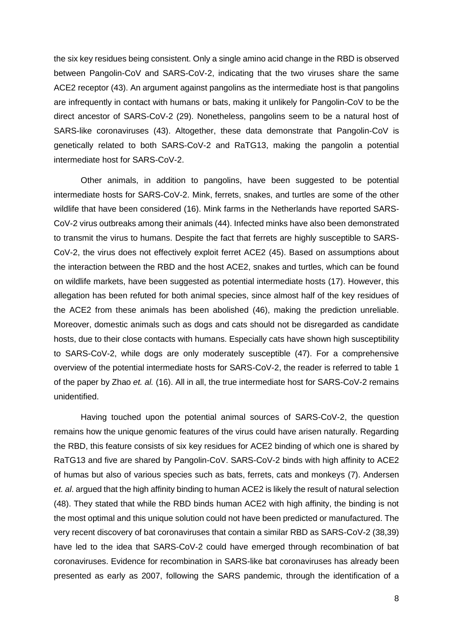the six key residues being consistent. Only a single amino acid change in the RBD is observed between Pangolin-CoV and SARS-CoV-2, indicating that the two viruses share the same ACE2 receptor (43). An argument against pangolins as the intermediate host is that pangolins are infrequently in contact with humans or bats, making it unlikely for Pangolin-CoV to be the direct ancestor of SARS-CoV-2 (29). Nonetheless, pangolins seem to be a natural host of SARS-like coronaviruses (43). Altogether, these data demonstrate that Pangolin-CoV is genetically related to both SARS-CoV-2 and RaTG13, making the pangolin a potential intermediate host for SARS-CoV-2.

Other animals, in addition to pangolins, have been suggested to be potential intermediate hosts for SARS-CoV-2. Mink, ferrets, snakes, and turtles are some of the other wildlife that have been considered (16). Mink farms in the Netherlands have reported SARS-CoV-2 virus outbreaks among their animals (44). Infected minks have also been demonstrated to transmit the virus to humans. Despite the fact that ferrets are highly susceptible to SARS-CoV-2, the virus does not effectively exploit ferret ACE2 (45). Based on assumptions about the interaction between the RBD and the host ACE2, snakes and turtles, which can be found on wildlife markets, have been suggested as potential intermediate hosts (17). However, this allegation has been refuted for both animal species, since almost half of the key residues of the ACE2 from these animals has been abolished (46), making the prediction unreliable. Moreover, domestic animals such as dogs and cats should not be disregarded as candidate hosts, due to their close contacts with humans. Especially cats have shown high susceptibility to SARS-CoV-2, while dogs are only moderately susceptible (47). For a comprehensive overview of the potential intermediate hosts for SARS-CoV-2, the reader is referred to table 1 of the paper by Zhao *et. al.* (16). All in all, the true intermediate host for SARS-CoV-2 remains unidentified.

Having touched upon the potential animal sources of SARS-CoV-2, the question remains how the unique genomic features of the virus could have arisen naturally. Regarding the RBD, this feature consists of six key residues for ACE2 binding of which one is shared by RaTG13 and five are shared by Pangolin-CoV. SARS-CoV-2 binds with high affinity to ACE2 of humas but also of various species such as bats, ferrets, cats and monkeys (7). Andersen *et. al*. argued that the high affinity binding to human ACE2 is likely the result of natural selection (48). They stated that while the RBD binds human ACE2 with high affinity, the binding is not the most optimal and this unique solution could not have been predicted or manufactured. The very recent discovery of bat coronaviruses that contain a similar RBD as SARS-CoV-2 (38,39) have led to the idea that SARS-CoV-2 could have emerged through recombination of bat coronaviruses. Evidence for recombination in SARS-like bat coronaviruses has already been presented as early as 2007, following the SARS pandemic, through the identification of a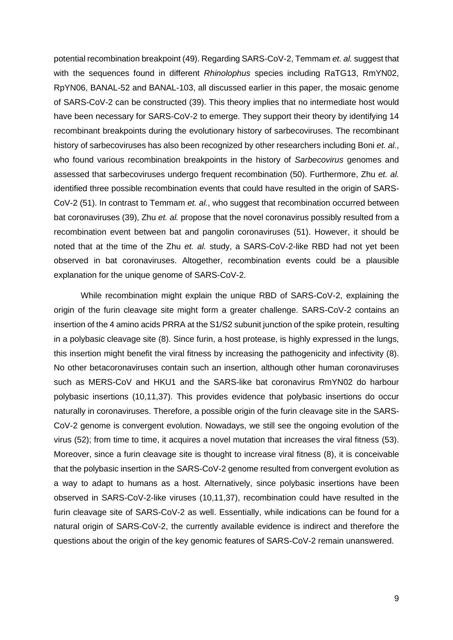potential recombination breakpoint (49). Regarding SARS-CoV-2, Temmam *et. al.* suggest that with the sequences found in different *Rhinolophus* species including RaTG13, RmYN02, RpYN06, BANAL-52 and BANAL-103, all discussed earlier in this paper, the mosaic genome of SARS-CoV-2 can be constructed (39). This theory implies that no intermediate host would have been necessary for SARS-CoV-2 to emerge. They support their theory by identifying 14 recombinant breakpoints during the evolutionary history of sarbecoviruses. The recombinant history of sarbecoviruses has also been recognized by other researchers including Boni *et. al.*, who found various recombination breakpoints in the history of *Sarbecovirus* genomes and assessed that sarbecoviruses undergo frequent recombination (50). Furthermore, Zhu *et. al.* identified three possible recombination events that could have resulted in the origin of SARS-CoV-2 (51). In contrast to Temmam *et. al.*, who suggest that recombination occurred between bat coronaviruses (39), Zhu *et. al.* propose that the novel coronavirus possibly resulted from a recombination event between bat and pangolin coronaviruses (51). However, it should be noted that at the time of the Zhu *et. al.* study, a SARS-CoV-2-like RBD had not yet been observed in bat coronaviruses. Altogether, recombination events could be a plausible explanation for the unique genome of SARS-CoV-2.

While recombination might explain the unique RBD of SARS-CoV-2, explaining the origin of the furin cleavage site might form a greater challenge. SARS-CoV-2 contains an insertion of the 4 amino acids PRRA at the S1/S2 subunit junction of the spike protein, resulting in a polybasic cleavage site (8). Since furin, a host protease, is highly expressed in the lungs, this insertion might benefit the viral fitness by increasing the pathogenicity and infectivity (8). No other betacoronaviruses contain such an insertion, although other human coronaviruses such as MERS-CoV and HKU1 and the SARS-like bat coronavirus RmYN02 do harbour polybasic insertions (10,11,37). This provides evidence that polybasic insertions do occur naturally in coronaviruses. Therefore, a possible origin of the furin cleavage site in the SARS-CoV-2 genome is convergent evolution. Nowadays, we still see the ongoing evolution of the virus (52); from time to time, it acquires a novel mutation that increases the viral fitness (53). Moreover, since a furin cleavage site is thought to increase viral fitness (8), it is conceivable that the polybasic insertion in the SARS-CoV-2 genome resulted from convergent evolution as a way to adapt to humans as a host. Alternatively, since polybasic insertions have been observed in SARS-CoV-2-like viruses (10,11,37), recombination could have resulted in the furin cleavage site of SARS-CoV-2 as well. Essentially, while indications can be found for a natural origin of SARS-CoV-2, the currently available evidence is indirect and therefore the questions about the origin of the key genomic features of SARS-CoV-2 remain unanswered.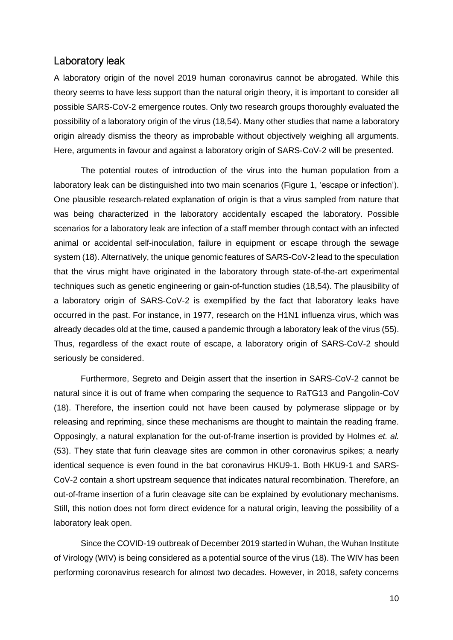#### Laboratory leak

A laboratory origin of the novel 2019 human coronavirus cannot be abrogated. While this theory seems to have less support than the natural origin theory, it is important to consider all possible SARS-CoV-2 emergence routes. Only two research groups thoroughly evaluated the possibility of a laboratory origin of the virus (18,54). Many other studies that name a laboratory origin already dismiss the theory as improbable without objectively weighing all arguments. Here, arguments in favour and against a laboratory origin of SARS-CoV-2 will be presented.

The potential routes of introduction of the virus into the human population from a laboratory leak can be distinguished into two main scenarios [\(Figure 1,](#page-4-0) 'escape or infection'). One plausible research-related explanation of origin is that a virus sampled from nature that was being characterized in the laboratory accidentally escaped the laboratory. Possible scenarios for a laboratory leak are infection of a staff member through contact with an infected animal or accidental self-inoculation, failure in equipment or escape through the sewage system (18). Alternatively, the unique genomic features of SARS-CoV-2 lead to the speculation that the virus might have originated in the laboratory through state-of-the-art experimental techniques such as genetic engineering or gain-of-function studies (18,54). The plausibility of a laboratory origin of SARS-CoV-2 is exemplified by the fact that laboratory leaks have occurred in the past. For instance, in 1977, research on the H1N1 influenza virus, which was already decades old at the time, caused a pandemic through a laboratory leak of the virus (55). Thus, regardless of the exact route of escape, a laboratory origin of SARS-CoV-2 should seriously be considered.

Furthermore, Segreto and Deigin assert that the insertion in SARS-CoV-2 cannot be natural since it is out of frame when comparing the sequence to RaTG13 and Pangolin-CoV (18). Therefore, the insertion could not have been caused by polymerase slippage or by releasing and repriming, since these mechanisms are thought to maintain the reading frame. Opposingly, a natural explanation for the out-of-frame insertion is provided by Holmes *et. al.* (53). They state that furin cleavage sites are common in other coronavirus spikes; a nearly identical sequence is even found in the bat coronavirus HKU9-1. Both HKU9-1 and SARS-CoV-2 contain a short upstream sequence that indicates natural recombination. Therefore, an out-of-frame insertion of a furin cleavage site can be explained by evolutionary mechanisms. Still, this notion does not form direct evidence for a natural origin, leaving the possibility of a laboratory leak open.

Since the COVID-19 outbreak of December 2019 started in Wuhan, the Wuhan Institute of Virology (WIV) is being considered as a potential source of the virus (18). The WIV has been performing coronavirus research for almost two decades. However, in 2018, safety concerns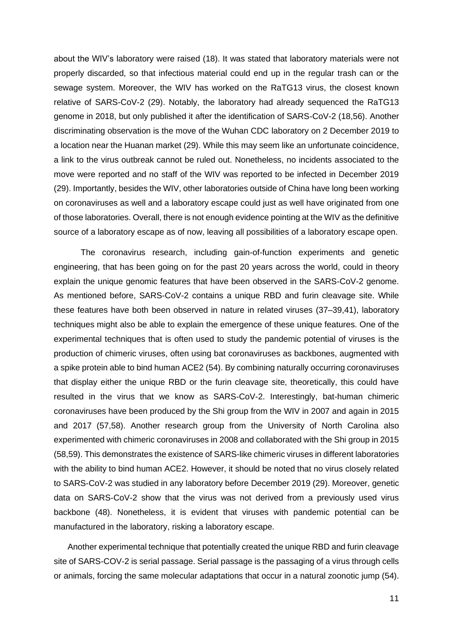about the WIV's laboratory were raised (18). It was stated that laboratory materials were not properly discarded, so that infectious material could end up in the regular trash can or the sewage system. Moreover, the WIV has worked on the RaTG13 virus, the closest known relative of SARS-CoV-2 (29). Notably, the laboratory had already sequenced the RaTG13 genome in 2018, but only published it after the identification of SARS-CoV-2 (18,56). Another discriminating observation is the move of the Wuhan CDC laboratory on 2 December 2019 to a location near the Huanan market (29). While this may seem like an unfortunate coincidence, a link to the virus outbreak cannot be ruled out. Nonetheless, no incidents associated to the move were reported and no staff of the WIV was reported to be infected in December 2019 (29). Importantly, besides the WIV, other laboratories outside of China have long been working on coronaviruses as well and a laboratory escape could just as well have originated from one of those laboratories. Overall, there is not enough evidence pointing at the WIV as the definitive source of a laboratory escape as of now, leaving all possibilities of a laboratory escape open.

The coronavirus research, including gain-of-function experiments and genetic engineering, that has been going on for the past 20 years across the world, could in theory explain the unique genomic features that have been observed in the SARS-CoV-2 genome. As mentioned before, SARS-CoV-2 contains a unique RBD and furin cleavage site. While these features have both been observed in nature in related viruses (37–39,41), laboratory techniques might also be able to explain the emergence of these unique features. One of the experimental techniques that is often used to study the pandemic potential of viruses is the production of chimeric viruses, often using bat coronaviruses as backbones, augmented with a spike protein able to bind human ACE2 (54). By combining naturally occurring coronaviruses that display either the unique RBD or the furin cleavage site, theoretically, this could have resulted in the virus that we know as SARS-CoV-2. Interestingly, bat-human chimeric coronaviruses have been produced by the Shi group from the WIV in 2007 and again in 2015 and 2017 (57,58). Another research group from the University of North Carolina also experimented with chimeric coronaviruses in 2008 and collaborated with the Shi group in 2015 (58,59). This demonstrates the existence of SARS-like chimeric viruses in different laboratories with the ability to bind human ACE2. However, it should be noted that no virus closely related to SARS-CoV-2 was studied in any laboratory before December 2019 (29). Moreover, genetic data on SARS-CoV-2 show that the virus was not derived from a previously used virus backbone (48). Nonetheless, it is evident that viruses with pandemic potential can be manufactured in the laboratory, risking a laboratory escape.

Another experimental technique that potentially created the unique RBD and furin cleavage site of SARS-COV-2 is serial passage. Serial passage is the passaging of a virus through cells or animals, forcing the same molecular adaptations that occur in a natural zoonotic jump (54).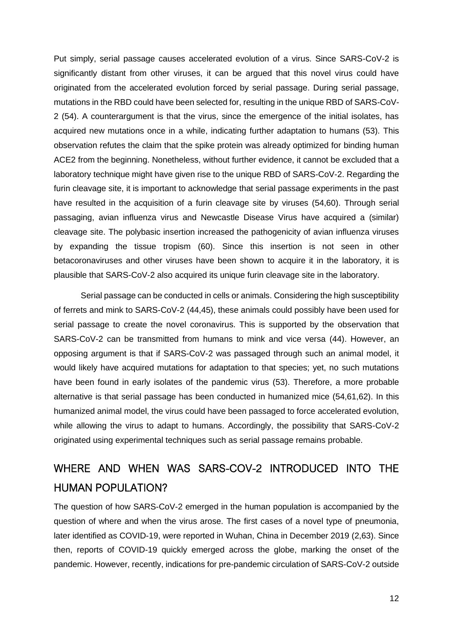Put simply, serial passage causes accelerated evolution of a virus. Since SARS-CoV-2 is significantly distant from other viruses, it can be argued that this novel virus could have originated from the accelerated evolution forced by serial passage. During serial passage, mutations in the RBD could have been selected for, resulting in the unique RBD of SARS-CoV-2 (54). A counterargument is that the virus, since the emergence of the initial isolates, has acquired new mutations once in a while, indicating further adaptation to humans (53). This observation refutes the claim that the spike protein was already optimized for binding human ACE2 from the beginning. Nonetheless, without further evidence, it cannot be excluded that a laboratory technique might have given rise to the unique RBD of SARS-CoV-2. Regarding the furin cleavage site, it is important to acknowledge that serial passage experiments in the past have resulted in the acquisition of a furin cleavage site by viruses (54,60). Through serial passaging, avian influenza virus and Newcastle Disease Virus have acquired a (similar) cleavage site. The polybasic insertion increased the pathogenicity of avian influenza viruses by expanding the tissue tropism (60). Since this insertion is not seen in other betacoronaviruses and other viruses have been shown to acquire it in the laboratory, it is plausible that SARS-CoV-2 also acquired its unique furin cleavage site in the laboratory.

Serial passage can be conducted in cells or animals. Considering the high susceptibility of ferrets and mink to SARS-CoV-2 (44,45), these animals could possibly have been used for serial passage to create the novel coronavirus. This is supported by the observation that SARS-CoV-2 can be transmitted from humans to mink and vice versa (44). However, an opposing argument is that if SARS-CoV-2 was passaged through such an animal model, it would likely have acquired mutations for adaptation to that species; yet, no such mutations have been found in early isolates of the pandemic virus (53). Therefore, a more probable alternative is that serial passage has been conducted in humanized mice (54,61,62). In this humanized animal model, the virus could have been passaged to force accelerated evolution, while allowing the virus to adapt to humans. Accordingly, the possibility that SARS-CoV-2 originated using experimental techniques such as serial passage remains probable.

# WHERE AND WHEN WAS SARS-COV-2 INTRODUCED INTO THE HUMAN POPULATION?

The question of how SARS-CoV-2 emerged in the human population is accompanied by the question of where and when the virus arose. The first cases of a novel type of pneumonia, later identified as COVID-19, were reported in Wuhan, China in December 2019 (2,63). Since then, reports of COVID-19 quickly emerged across the globe, marking the onset of the pandemic. However, recently, indications for pre-pandemic circulation of SARS-CoV-2 outside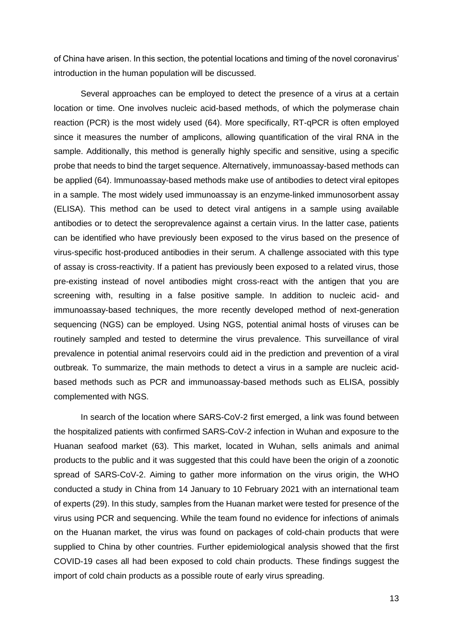of China have arisen. In this section, the potential locations and timing of the novel coronavirus' introduction in the human population will be discussed.

Several approaches can be employed to detect the presence of a virus at a certain location or time. One involves nucleic acid-based methods, of which the polymerase chain reaction (PCR) is the most widely used (64). More specifically, RT-qPCR is often employed since it measures the number of amplicons, allowing quantification of the viral RNA in the sample. Additionally, this method is generally highly specific and sensitive, using a specific probe that needs to bind the target sequence. Alternatively, immunoassay-based methods can be applied (64). Immunoassay-based methods make use of antibodies to detect viral epitopes in a sample. The most widely used immunoassay is an enzyme-linked immunosorbent assay (ELISA). This method can be used to detect viral antigens in a sample using available antibodies or to detect the seroprevalence against a certain virus. In the latter case, patients can be identified who have previously been exposed to the virus based on the presence of virus-specific host-produced antibodies in their serum. A challenge associated with this type of assay is cross-reactivity. If a patient has previously been exposed to a related virus, those pre-existing instead of novel antibodies might cross-react with the antigen that you are screening with, resulting in a false positive sample. In addition to nucleic acid- and immunoassay-based techniques, the more recently developed method of next-generation sequencing (NGS) can be employed. Using NGS, potential animal hosts of viruses can be routinely sampled and tested to determine the virus prevalence. This surveillance of viral prevalence in potential animal reservoirs could aid in the prediction and prevention of a viral outbreak. To summarize, the main methods to detect a virus in a sample are nucleic acidbased methods such as PCR and immunoassay-based methods such as ELISA, possibly complemented with NGS.

In search of the location where SARS-CoV-2 first emerged, a link was found between the hospitalized patients with confirmed SARS-CoV-2 infection in Wuhan and exposure to the Huanan seafood market (63). This market, located in Wuhan, sells animals and animal products to the public and it was suggested that this could have been the origin of a zoonotic spread of SARS-CoV-2. Aiming to gather more information on the virus origin, the WHO conducted a study in China from 14 January to 10 February 2021 with an international team of experts (29). In this study, samples from the Huanan market were tested for presence of the virus using PCR and sequencing. While the team found no evidence for infections of animals on the Huanan market, the virus was found on packages of cold-chain products that were supplied to China by other countries. Further epidemiological analysis showed that the first COVID-19 cases all had been exposed to cold chain products. These findings suggest the import of cold chain products as a possible route of early virus spreading.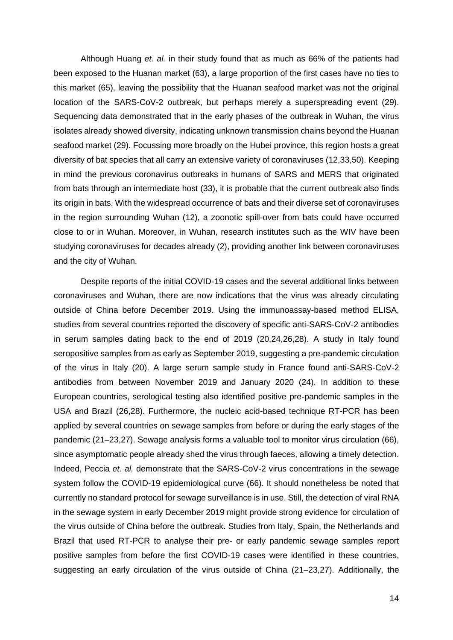Although Huang *et. al.* in their study found that as much as 66% of the patients had been exposed to the Huanan market (63), a large proportion of the first cases have no ties to this market (65), leaving the possibility that the Huanan seafood market was not the original location of the SARS-CoV-2 outbreak, but perhaps merely a superspreading event (29). Sequencing data demonstrated that in the early phases of the outbreak in Wuhan, the virus isolates already showed diversity, indicating unknown transmission chains beyond the Huanan seafood market (29). Focussing more broadly on the Hubei province, this region hosts a great diversity of bat species that all carry an extensive variety of coronaviruses (12,33,50). Keeping in mind the previous coronavirus outbreaks in humans of SARS and MERS that originated from bats through an intermediate host (33), it is probable that the current outbreak also finds its origin in bats. With the widespread occurrence of bats and their diverse set of coronaviruses in the region surrounding Wuhan (12), a zoonotic spill-over from bats could have occurred close to or in Wuhan. Moreover, in Wuhan, research institutes such as the WIV have been studying coronaviruses for decades already (2), providing another link between coronaviruses and the city of Wuhan.

Despite reports of the initial COVID-19 cases and the several additional links between coronaviruses and Wuhan, there are now indications that the virus was already circulating outside of China before December 2019. Using the immunoassay-based method ELISA, studies from several countries reported the discovery of specific anti-SARS-CoV-2 antibodies in serum samples dating back to the end of 2019 (20,24,26,28). A study in Italy found seropositive samples from as early as September 2019, suggesting a pre-pandemic circulation of the virus in Italy (20). A large serum sample study in France found anti-SARS-CoV-2 antibodies from between November 2019 and January 2020 (24). In addition to these European countries, serological testing also identified positive pre-pandemic samples in the USA and Brazil (26,28). Furthermore, the nucleic acid-based technique RT-PCR has been applied by several countries on sewage samples from before or during the early stages of the pandemic (21–23,27). Sewage analysis forms a valuable tool to monitor virus circulation (66), since asymptomatic people already shed the virus through faeces, allowing a timely detection. Indeed, Peccia *et. al.* demonstrate that the SARS-CoV-2 virus concentrations in the sewage system follow the COVID-19 epidemiological curve (66). It should nonetheless be noted that currently no standard protocol for sewage surveillance is in use. Still, the detection of viral RNA in the sewage system in early December 2019 might provide strong evidence for circulation of the virus outside of China before the outbreak. Studies from Italy, Spain, the Netherlands and Brazil that used RT-PCR to analyse their pre- or early pandemic sewage samples report positive samples from before the first COVID-19 cases were identified in these countries, suggesting an early circulation of the virus outside of China (21–23,27). Additionally, the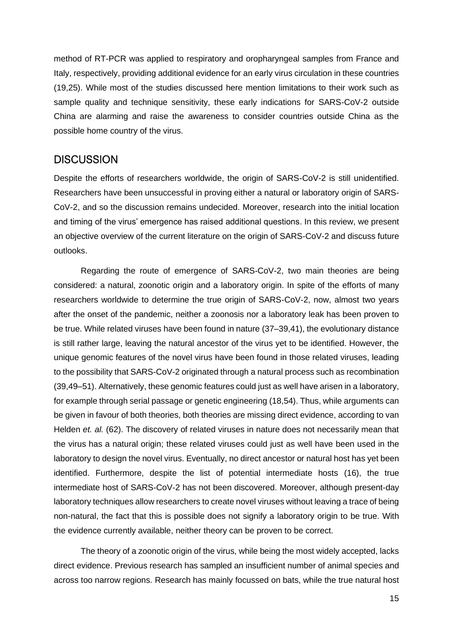method of RT-PCR was applied to respiratory and oropharyngeal samples from France and Italy, respectively, providing additional evidence for an early virus circulation in these countries (19,25). While most of the studies discussed here mention limitations to their work such as sample quality and technique sensitivity, these early indications for SARS-CoV-2 outside China are alarming and raise the awareness to consider countries outside China as the possible home country of the virus.

#### **DISCUSSION**

Despite the efforts of researchers worldwide, the origin of SARS-CoV-2 is still unidentified. Researchers have been unsuccessful in proving either a natural or laboratory origin of SARS-CoV-2, and so the discussion remains undecided. Moreover, research into the initial location and timing of the virus' emergence has raised additional questions. In this review, we present an objective overview of the current literature on the origin of SARS-CoV-2 and discuss future outlooks.

Regarding the route of emergence of SARS-CoV-2, two main theories are being considered: a natural, zoonotic origin and a laboratory origin. In spite of the efforts of many researchers worldwide to determine the true origin of SARS-CoV-2, now, almost two years after the onset of the pandemic, neither a zoonosis nor a laboratory leak has been proven to be true. While related viruses have been found in nature (37–39,41), the evolutionary distance is still rather large, leaving the natural ancestor of the virus yet to be identified. However, the unique genomic features of the novel virus have been found in those related viruses, leading to the possibility that SARS-CoV-2 originated through a natural process such as recombination (39,49–51). Alternatively, these genomic features could just as well have arisen in a laboratory, for example through serial passage or genetic engineering (18,54). Thus, while arguments can be given in favour of both theories, both theories are missing direct evidence, according to van Helden *et. al.* (62). The discovery of related viruses in nature does not necessarily mean that the virus has a natural origin; these related viruses could just as well have been used in the laboratory to design the novel virus. Eventually, no direct ancestor or natural host has yet been identified. Furthermore, despite the list of potential intermediate hosts (16), the true intermediate host of SARS-CoV-2 has not been discovered. Moreover, although present-day laboratory techniques allow researchers to create novel viruses without leaving a trace of being non-natural, the fact that this is possible does not signify a laboratory origin to be true. With the evidence currently available, neither theory can be proven to be correct.

The theory of a zoonotic origin of the virus, while being the most widely accepted, lacks direct evidence. Previous research has sampled an insufficient number of animal species and across too narrow regions. Research has mainly focussed on bats, while the true natural host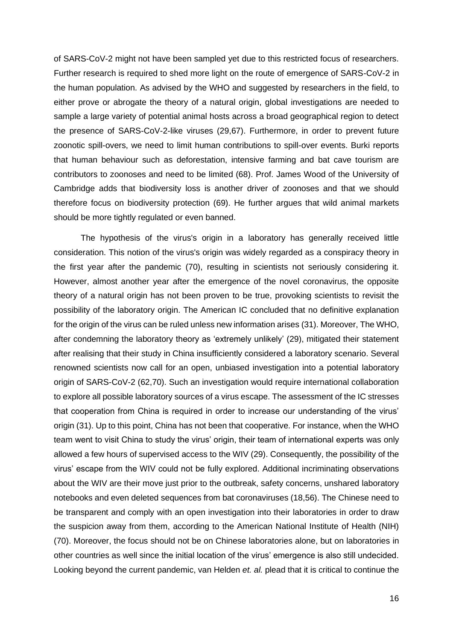of SARS-CoV-2 might not have been sampled yet due to this restricted focus of researchers. Further research is required to shed more light on the route of emergence of SARS-CoV-2 in the human population. As advised by the WHO and suggested by researchers in the field, to either prove or abrogate the theory of a natural origin, global investigations are needed to sample a large variety of potential animal hosts across a broad geographical region to detect the presence of SARS-CoV-2-like viruses (29,67). Furthermore, in order to prevent future zoonotic spill-overs, we need to limit human contributions to spill-over events. Burki reports that human behaviour such as deforestation, intensive farming and bat cave tourism are contributors to zoonoses and need to be limited (68). Prof. James Wood of the University of Cambridge adds that biodiversity loss is another driver of zoonoses and that we should therefore focus on biodiversity protection (69). He further argues that wild animal markets should be more tightly regulated or even banned.

The hypothesis of the virus's origin in a laboratory has generally received little consideration. This notion of the virus's origin was widely regarded as a conspiracy theory in the first year after the pandemic (70), resulting in scientists not seriously considering it. However, almost another year after the emergence of the novel coronavirus, the opposite theory of a natural origin has not been proven to be true, provoking scientists to revisit the possibility of the laboratory origin. The American IC concluded that no definitive explanation for the origin of the virus can be ruled unless new information arises (31). Moreover, The WHO, after condemning the laboratory theory as 'extremely unlikely' (29), mitigated their statement after realising that their study in China insufficiently considered a laboratory scenario. Several renowned scientists now call for an open, unbiased investigation into a potential laboratory origin of SARS-CoV-2 (62,70). Such an investigation would require international collaboration to explore all possible laboratory sources of a virus escape. The assessment of the IC stresses that cooperation from China is required in order to increase our understanding of the virus' origin (31). Up to this point, China has not been that cooperative. For instance, when the WHO team went to visit China to study the virus' origin, their team of international experts was only allowed a few hours of supervised access to the WIV (29). Consequently, the possibility of the virus' escape from the WIV could not be fully explored. Additional incriminating observations about the WIV are their move just prior to the outbreak, safety concerns, unshared laboratory notebooks and even deleted sequences from bat coronaviruses (18,56). The Chinese need to be transparent and comply with an open investigation into their laboratories in order to draw the suspicion away from them, according to the American National Institute of Health (NIH) (70). Moreover, the focus should not be on Chinese laboratories alone, but on laboratories in other countries as well since the initial location of the virus' emergence is also still undecided. Looking beyond the current pandemic, van Helden *et. al.* plead that it is critical to continue the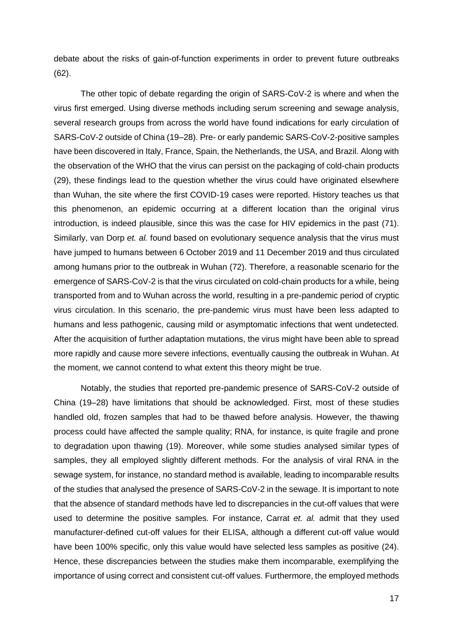debate about the risks of gain-of-function experiments in order to prevent future outbreaks (62).

The other topic of debate regarding the origin of SARS-CoV-2 is where and when the virus first emerged. Using diverse methods including serum screening and sewage analysis, several research groups from across the world have found indications for early circulation of SARS-CoV-2 outside of China (19–28). Pre- or early pandemic SARS-CoV-2-positive samples have been discovered in Italy, France, Spain, the Netherlands, the USA, and Brazil. Along with the observation of the WHO that the virus can persist on the packaging of cold-chain products (29), these findings lead to the question whether the virus could have originated elsewhere than Wuhan, the site where the first COVID-19 cases were reported. History teaches us that this phenomenon, an epidemic occurring at a different location than the original virus introduction, is indeed plausible, since this was the case for HIV epidemics in the past (71). Similarly, van Dorp *et. al.* found based on evolutionary sequence analysis that the virus must have jumped to humans between 6 October 2019 and 11 December 2019 and thus circulated among humans prior to the outbreak in Wuhan (72). Therefore, a reasonable scenario for the emergence of SARS-CoV-2 is that the virus circulated on cold-chain products for a while, being transported from and to Wuhan across the world, resulting in a pre-pandemic period of cryptic virus circulation. In this scenario, the pre-pandemic virus must have been less adapted to humans and less pathogenic, causing mild or asymptomatic infections that went undetected. After the acquisition of further adaptation mutations, the virus might have been able to spread more rapidly and cause more severe infections, eventually causing the outbreak in Wuhan. At the moment, we cannot contend to what extent this theory might be true.

Notably, the studies that reported pre-pandemic presence of SARS-CoV-2 outside of China (19–28) have limitations that should be acknowledged. First, most of these studies handled old, frozen samples that had to be thawed before analysis. However, the thawing process could have affected the sample quality; RNA, for instance, is quite fragile and prone to degradation upon thawing (19). Moreover, while some studies analysed similar types of samples, they all employed slightly different methods. For the analysis of viral RNA in the sewage system, for instance, no standard method is available, leading to incomparable results of the studies that analysed the presence of SARS-CoV-2 in the sewage. It is important to note that the absence of standard methods have led to discrepancies in the cut-off values that were used to determine the positive samples. For instance, Carrat *et. al.* admit that they used manufacturer-defined cut-off values for their ELISA, although a different cut-off value would have been 100% specific, only this value would have selected less samples as positive (24). Hence, these discrepancies between the studies make them incomparable, exemplifying the importance of using correct and consistent cut-off values. Furthermore, the employed methods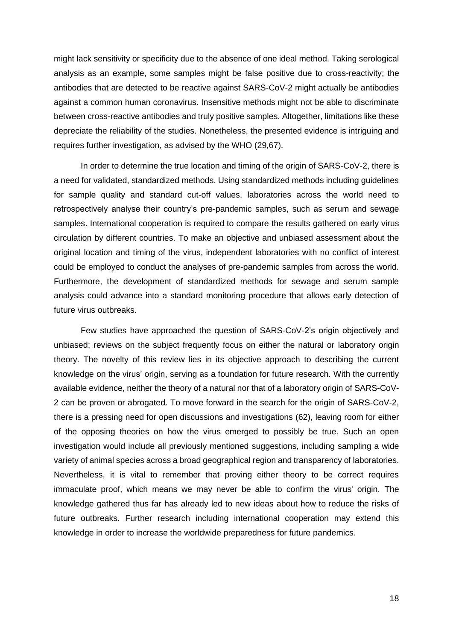might lack sensitivity or specificity due to the absence of one ideal method. Taking serological analysis as an example, some samples might be false positive due to cross-reactivity; the antibodies that are detected to be reactive against SARS-CoV-2 might actually be antibodies against a common human coronavirus. Insensitive methods might not be able to discriminate between cross-reactive antibodies and truly positive samples. Altogether, limitations like these depreciate the reliability of the studies. Nonetheless, the presented evidence is intriguing and requires further investigation, as advised by the WHO (29,67).

In order to determine the true location and timing of the origin of SARS-CoV-2, there is a need for validated, standardized methods. Using standardized methods including guidelines for sample quality and standard cut-off values, laboratories across the world need to retrospectively analyse their country's pre-pandemic samples, such as serum and sewage samples. International cooperation is required to compare the results gathered on early virus circulation by different countries. To make an objective and unbiased assessment about the original location and timing of the virus, independent laboratories with no conflict of interest could be employed to conduct the analyses of pre-pandemic samples from across the world. Furthermore, the development of standardized methods for sewage and serum sample analysis could advance into a standard monitoring procedure that allows early detection of future virus outbreaks.

Few studies have approached the question of SARS-CoV-2's origin objectively and unbiased; reviews on the subject frequently focus on either the natural or laboratory origin theory. The novelty of this review lies in its objective approach to describing the current knowledge on the virus' origin, serving as a foundation for future research. With the currently available evidence, neither the theory of a natural nor that of a laboratory origin of SARS-CoV-2 can be proven or abrogated. To move forward in the search for the origin of SARS-CoV-2, there is a pressing need for open discussions and investigations (62), leaving room for either of the opposing theories on how the virus emerged to possibly be true. Such an open investigation would include all previously mentioned suggestions, including sampling a wide variety of animal species across a broad geographical region and transparency of laboratories. Nevertheless, it is vital to remember that proving either theory to be correct requires immaculate proof, which means we may never be able to confirm the virus' origin. The knowledge gathered thus far has already led to new ideas about how to reduce the risks of future outbreaks. Further research including international cooperation may extend this knowledge in order to increase the worldwide preparedness for future pandemics.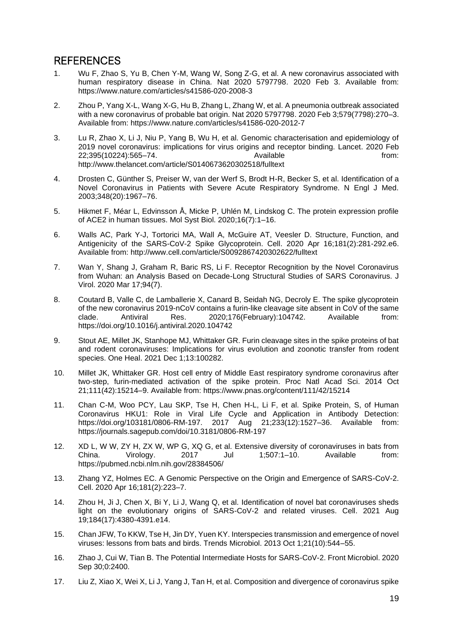## **REFERENCES**

- 1. Wu F, Zhao S, Yu B, Chen Y-M, Wang W, Song Z-G, et al. A new coronavirus associated with human respiratory disease in China. Nat 2020 5797798. 2020 Feb 3. Available from: https://www.nature.com/articles/s41586-020-2008-3
- 2. Zhou P, Yang X-L, Wang X-G, Hu B, Zhang L, Zhang W, et al. A pneumonia outbreak associated with a new coronavirus of probable bat origin. Nat 2020 5797798. 2020 Feb 3;579(7798):270–3. Available from: https://www.nature.com/articles/s41586-020-2012-7
- 3. Lu R, Zhao X, Li J, Niu P, Yang B, Wu H, et al. Genomic characterisation and epidemiology of 2019 novel coronavirus: implications for virus origins and receptor binding. Lancet. 2020 Feb 22;395(10224):565–74. Available from: http://www.thelancet.com/article/S0140673620302518/fulltext
- 4. Drosten C, Günther S, Preiser W, van der Werf S, Brodt H-R, Becker S, et al. Identification of a Novel Coronavirus in Patients with Severe Acute Respiratory Syndrome. N Engl J Med. 2003;348(20):1967–76.
- 5. Hikmet F, Méar L, Edvinsson Å, Micke P, Uhlén M, Lindskog C. The protein expression profile of ACE2 in human tissues. Mol Syst Biol. 2020;16(7):1–16.
- 6. Walls AC, Park Y-J, Tortorici MA, Wall A, McGuire AT, Veesler D. Structure, Function, and Antigenicity of the SARS-CoV-2 Spike Glycoprotein. Cell. 2020 Apr 16;181(2):281-292.e6. Available from: http://www.cell.com/article/S0092867420302622/fulltext
- 7. Wan Y, Shang J, Graham R, Baric RS, Li F. Receptor Recognition by the Novel Coronavirus from Wuhan: an Analysis Based on Decade-Long Structural Studies of SARS Coronavirus. J Virol. 2020 Mar 17;94(7).
- 8. Coutard B, Valle C, de Lamballerie X, Canard B, Seidah NG, Decroly E. The spike glycoprotein of the new coronavirus 2019-nCoV contains a furin-like cleavage site absent in CoV of the same<br>clade. Antiviral Res. 2020:176(February):104742. Available from: Antiviral Res. 2020;176(February):104742. Available from: https://doi.org/10.1016/j.antiviral.2020.104742
- 9. Stout AE, Millet JK, Stanhope MJ, Whittaker GR. Furin cleavage sites in the spike proteins of bat and rodent coronaviruses: Implications for virus evolution and zoonotic transfer from rodent species. One Heal. 2021 Dec 1;13:100282.
- 10. Millet JK, Whittaker GR. Host cell entry of Middle East respiratory syndrome coronavirus after two-step, furin-mediated activation of the spike protein. Proc Natl Acad Sci. 2014 Oct 21;111(42):15214–9. Available from: https://www.pnas.org/content/111/42/15214
- 11. Chan C-M, Woo PCY, Lau SKP, Tse H, Chen H-L, Li F, et al. Spike Protein, S, of Human Coronavirus HKU1: Role in Viral Life Cycle and Application in Antibody Detection: https://doi.org/103181/0806-RM-197. 2017 Aug 21;233(12):1527–36. Available from: https://journals.sagepub.com/doi/10.3181/0806-RM-197
- 12. XD L, W W, ZY H, ZX W, WP G, XQ G, et al. Extensive diversity of coronaviruses in bats from China. Virology. 2017 Jul 1;507:1–10. Available from: https://pubmed.ncbi.nlm.nih.gov/28384506/
- 13. Zhang YZ, Holmes EC. A Genomic Perspective on the Origin and Emergence of SARS-CoV-2. Cell. 2020 Apr 16;181(2):223–7.
- 14. Zhou H, Ji J, Chen X, Bi Y, Li J, Wang Q, et al. Identification of novel bat coronaviruses sheds light on the evolutionary origins of SARS-CoV-2 and related viruses. Cell. 2021 Aug 19;184(17):4380-4391.e14.
- 15. Chan JFW, To KKW, Tse H, Jin DY, Yuen KY. Interspecies transmission and emergence of novel viruses: lessons from bats and birds. Trends Microbiol. 2013 Oct 1;21(10):544–55.
- 16. Zhao J, Cui W, Tian B. The Potential Intermediate Hosts for SARS-CoV-2. Front Microbiol. 2020 Sep 30;0:2400.
- 17. Liu Z, Xiao X, Wei X, Li J, Yang J, Tan H, et al. Composition and divergence of coronavirus spike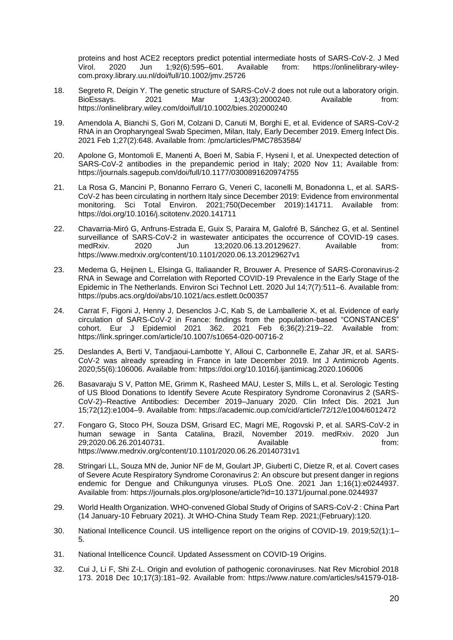proteins and host ACE2 receptors predict potential intermediate hosts of SARS-CoV-2. J Med Virol. 2020 Jun 1;92(6):595–601. Available from: https://onlinelibrary-wileycom.proxy.library.uu.nl/doi/full/10.1002/jmv.25726

- 18. Segreto R, Deigin Y. The genetic structure of SARS-CoV-2 does not rule out a laboratory origin. BioEssays. 2021 Mar 1;43(3):2000240. Available from: https://onlinelibrary.wiley.com/doi/full/10.1002/bies.202000240
- 19. Amendola A, Bianchi S, Gori M, Colzani D, Canuti M, Borghi E, et al. Evidence of SARS-CoV-2 RNA in an Oropharyngeal Swab Specimen, Milan, Italy, Early December 2019. Emerg Infect Dis. 2021 Feb 1;27(2):648. Available from: /pmc/articles/PMC7853584/
- 20. Apolone G, Montomoli E, Manenti A, Boeri M, Sabia F, Hyseni I, et al. Unexpected detection of SARS-CoV-2 antibodies in the prepandemic period in Italy; 2020 Nov 11; Available from: https://journals.sagepub.com/doi/full/10.1177/0300891620974755
- 21. La Rosa G, Mancini P, Bonanno Ferraro G, Veneri C, Iaconelli M, Bonadonna L, et al. SARS-CoV-2 has been circulating in northern Italy since December 2019: Evidence from environmental monitoring. Sci Total Environ. 2021;750(December 2019):141711. Available from: https://doi.org/10.1016/j.scitotenv.2020.141711
- 22. Chavarria-Miró G, Anfruns-Estrada E, Guix S, Paraira M, Galofré B, Sánchez G, et al. Sentinel surveillance of SARS-CoV-2 in wastewater anticipates the occurrence of COVID-19 cases. medRxiv. 2020 Jun 13;2020.06.13.20129627. Available from: https://www.medrxiv.org/content/10.1101/2020.06.13.20129627v1
- 23. Medema G, Heijnen L, Elsinga G, Italiaander R, Brouwer A. Presence of SARS-Coronavirus-2 RNA in Sewage and Correlation with Reported COVID-19 Prevalence in the Early Stage of the Epidemic in The Netherlands. Environ Sci Technol Lett. 2020 Jul 14;7(7):511–6. Available from: https://pubs.acs.org/doi/abs/10.1021/acs.estlett.0c00357
- 24. Carrat F, Figoni J, Henny J, Desenclos J-C, Kab S, de Lamballerie X, et al. Evidence of early circulation of SARS-CoV-2 in France: findings from the population-based "CONSTANCES" cohort. Eur J Epidemiol 2021 362. 2021 Feb 6;36(2):219–22. Available from: https://link.springer.com/article/10.1007/s10654-020-00716-2
- 25. Deslandes A, Berti V, Tandjaoui-Lambotte Y, Alloui C, Carbonnelle E, Zahar JR, et al. SARS-CoV-2 was already spreading in France in late December 2019. Int J Antimicrob Agents. 2020;55(6):106006. Available from: https://doi.org/10.1016/j.ijantimicag.2020.106006
- 26. Basavaraju S V, Patton ME, Grimm K, Rasheed MAU, Lester S, Mills L, et al. Serologic Testing of US Blood Donations to Identify Severe Acute Respiratory Syndrome Coronavirus 2 (SARS-CoV-2)–Reactive Antibodies: December 2019–January 2020. Clin Infect Dis. 2021 Jun 15;72(12):e1004–9. Available from: https://academic.oup.com/cid/article/72/12/e1004/6012472
- 27. Fongaro G, Stoco PH, Souza DSM, Grisard EC, Magri ME, Rogovski P, et al. SARS-CoV-2 in human sewage in Santa Catalina, Brazil, November 2019. medRxiv. 2020 Jun 29;2020.06.26.20140731. Available from: https://www.medrxiv.org/content/10.1101/2020.06.26.20140731v1
- 28. Stringari LL, Souza MN de, Junior NF de M, Goulart JP, Giuberti C, Dietze R, et al. Covert cases of Severe Acute Respiratory Syndrome Coronavirus 2: An obscure but present danger in regions endemic for Dengue and Chikungunya viruses. PLoS One. 2021 Jan 1;16(1):e0244937. Available from: https://journals.plos.org/plosone/article?id=10.1371/journal.pone.0244937
- 29. World Health Organization. WHO-convened Global Study of Origins of SARS-CoV-2 : China Part (14 January-10 February 2021). Jt WHO-China Study Team Rep. 2021;(February):120.
- 30. National Intellicence Council. US intelligence report on the origins of COVID-19. 2019;52(1):1– 5.
- 31. National Intellicence Council. Updated Assessment on COVID-19 Origins.
- 32. Cui J, Li F, Shi Z-L. Origin and evolution of pathogenic coronaviruses. Nat Rev Microbiol 2018 173. 2018 Dec 10;17(3):181–92. Available from: https://www.nature.com/articles/s41579-018-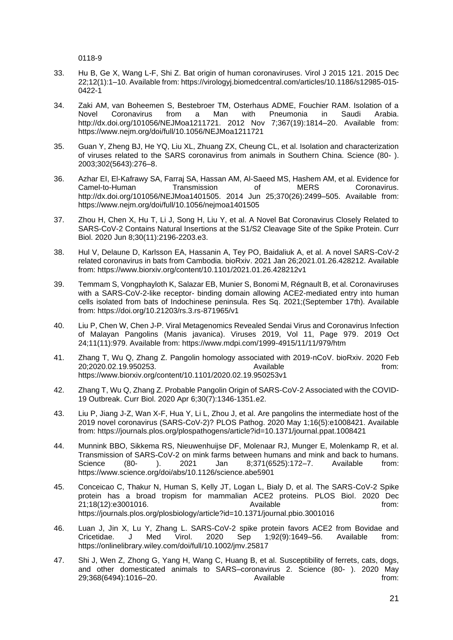0118-9

- 33. Hu B, Ge X, Wang L-F, Shi Z. Bat origin of human coronaviruses. Virol J 2015 121. 2015 Dec 22;12(1):1–10. Available from: https://virologyj.biomedcentral.com/articles/10.1186/s12985-015- 0422-1
- 34. Zaki AM, van Boheemen S, Bestebroer TM, Osterhaus ADME, Fouchier RAM. Isolation of a<br>Novel Coronavirus from a Man with Pneumonia in Saudi Arabia. Novel Coronavirus from a Man with Pneumonia in Saudi http://dx.doi.org/101056/NEJMoa1211721. 2012 Nov 7;367(19):1814–20. Available from: https://www.nejm.org/doi/full/10.1056/NEJMoa1211721
- 35. Guan Y, Zheng BJ, He YQ, Liu XL, Zhuang ZX, Cheung CL, et al. Isolation and characterization of viruses related to the SARS coronavirus from animals in Southern China. Science (80- ). 2003;302(5643):276–8.
- 36. Azhar EI, El-Kafrawy SA, Farraj SA, Hassan AM, Al-Saeed MS, Hashem AM, et al. Evidence for Camel-to-Human Transmission of MERS Coronavirus. http://dx.doi.org/101056/NEJMoa1401505. 2014 Jun 25;370(26):2499–505. Available from: https://www.nejm.org/doi/full/10.1056/nejmoa1401505
- 37. Zhou H, Chen X, Hu T, Li J, Song H, Liu Y, et al. A Novel Bat Coronavirus Closely Related to SARS-CoV-2 Contains Natural Insertions at the S1/S2 Cleavage Site of the Spike Protein. Curr Biol. 2020 Jun 8;30(11):2196-2203.e3.
- 38. Hul V, Delaune D, Karlsson EA, Hassanin A, Tey PO, Baidaliuk A, et al. A novel SARS-CoV-2 related coronavirus in bats from Cambodia. bioRxiv. 2021 Jan 26;2021.01.26.428212. Available from: https://www.biorxiv.org/content/10.1101/2021.01.26.428212v1
- 39. Temmam S, Vongphayloth K, Salazar EB, Munier S, Bonomi M, Régnault B, et al. Coronaviruses with a SARS-CoV-2-like receptor- binding domain allowing ACE2-mediated entry into human cells isolated from bats of Indochinese peninsula. Res Sq. 2021;(September 17th). Available from: https://doi.org/10.21203/rs.3.rs-871965/v1
- 40. Liu P, Chen W, Chen J-P. Viral Metagenomics Revealed Sendai Virus and Coronavirus Infection of Malayan Pangolins (Manis javanica). Viruses 2019, Vol 11, Page 979. 2019 Oct 24;11(11):979. Available from: https://www.mdpi.com/1999-4915/11/11/979/htm
- 41. Zhang T, Wu Q, Zhang Z. Pangolin homology associated with 2019-nCoV. bioRxiv. 2020 Feb 20;2020.02.19.950253. Available from: https://www.biorxiv.org/content/10.1101/2020.02.19.950253v1
- 42. Zhang T, Wu Q, Zhang Z. Probable Pangolin Origin of SARS-CoV-2 Associated with the COVID-19 Outbreak. Curr Biol. 2020 Apr 6;30(7):1346-1351.e2.
- 43. Liu P, Jiang J-Z, Wan X-F, Hua Y, Li L, Zhou J, et al. Are pangolins the intermediate host of the 2019 novel coronavirus (SARS-CoV-2)? PLOS Pathog. 2020 May 1;16(5):e1008421. Available from: https://journals.plos.org/plospathogens/article?id=10.1371/journal.ppat.1008421
- 44. Munnink BBO, Sikkema RS, Nieuwenhuijse DF, Molenaar RJ, Munger E, Molenkamp R, et al. Transmission of SARS-CoV-2 on mink farms between humans and mink and back to humans.<br>Science (80- ). 2021 Jan 8:371(6525):172–7. Available from: Science (80- ). 2021 Jan 8;371(6525):172–7. Available from: https://www.science.org/doi/abs/10.1126/science.abe5901
- 45. Conceicao C, Thakur N, Human S, Kelly JT, Logan L, Bialy D, et al. The SARS-CoV-2 Spike protein has a broad tropism for mammalian ACE2 proteins. PLOS Biol. 2020 Dec 21:18(12):e3001016. Available form: Available https://journals.plos.org/plosbiology/article?id=10.1371/journal.pbio.3001016
- 46. Luan J, Jin X, Lu Y, Zhang L. SARS-CoV-2 spike protein favors ACE2 from Bovidae and Cricetidae. J Med Virol. 2020 Sep 1;92(9):1649–56. Available from: https://onlinelibrary.wiley.com/doi/full/10.1002/jmv.25817
- 47. Shi J, Wen Z, Zhong G, Yang H, Wang C, Huang B, et al. Susceptibility of ferrets, cats, dogs, and other domesticated animals to SARS–coronavirus 2. Science (80- ). 2020 May 29;368(6494):1016–20. Available from: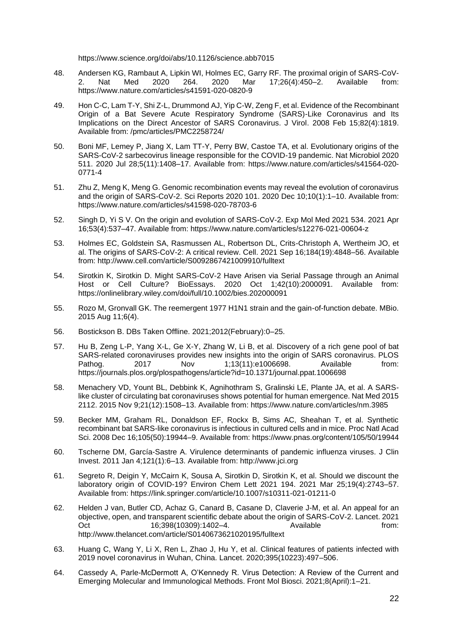https://www.science.org/doi/abs/10.1126/science.abb7015

- 48. Andersen KG, Rambaut A, Lipkin WI, Holmes EC, Garry RF. The proximal origin of SARS-CoV-2. Nat Med 2020 264. 2020 Mar 17;26(4):450–2. Available from: https://www.nature.com/articles/s41591-020-0820-9
- 49. Hon C-C, Lam T-Y, Shi Z-L, Drummond AJ, Yip C-W, Zeng F, et al. Evidence of the Recombinant Origin of a Bat Severe Acute Respiratory Syndrome (SARS)-Like Coronavirus and Its Implications on the Direct Ancestor of SARS Coronavirus. J Virol. 2008 Feb 15;82(4):1819. Available from: /pmc/articles/PMC2258724/
- 50. Boni MF, Lemey P, Jiang X, Lam TT-Y, Perry BW, Castoe TA, et al. Evolutionary origins of the SARS-CoV-2 sarbecovirus lineage responsible for the COVID-19 pandemic. Nat Microbiol 2020 511. 2020 Jul 28;5(11):1408–17. Available from: https://www.nature.com/articles/s41564-020- 0771-4
- 51. Zhu Z, Meng K, Meng G. Genomic recombination events may reveal the evolution of coronavirus and the origin of SARS-CoV-2. Sci Reports 2020 101. 2020 Dec 10;10(1):1–10. Available from: https://www.nature.com/articles/s41598-020-78703-6
- 52. Singh D, Yi S V. On the origin and evolution of SARS-CoV-2. Exp Mol Med 2021 534. 2021 Apr 16;53(4):537–47. Available from: https://www.nature.com/articles/s12276-021-00604-z
- 53. Holmes EC, Goldstein SA, Rasmussen AL, Robertson DL, Crits-Christoph A, Wertheim JO, et al. The origins of SARS-CoV-2: A critical review. Cell. 2021 Sep 16;184(19):4848–56. Available from: http://www.cell.com/article/S0092867421009910/fulltext
- 54. Sirotkin K, Sirotkin D. Might SARS-CoV-2 Have Arisen via Serial Passage through an Animal Host or Cell Culture? BioEssays. 2020 Oct 1;42(10):2000091. Available from: https://onlinelibrary.wiley.com/doi/full/10.1002/bies.202000091
- 55. Rozo M, Gronvall GK. The reemergent 1977 H1N1 strain and the gain-of-function debate. MBio. 2015 Aug 11;6(4).
- 56. Bostickson B. DBs Taken Offline. 2021;2012(February):0–25.
- 57. Hu B, Zeng L-P, Yang X-L, Ge X-Y, Zhang W, Li B, et al. Discovery of a rich gene pool of bat SARS-related coronaviruses provides new insights into the origin of SARS coronavirus. PLOS<br>Pathog. 2017 Mov 1:13(11):e1006698. Available from:  $1:13(11):e1006698.$ https://journals.plos.org/plospathogens/article?id=10.1371/journal.ppat.1006698
- 58. Menachery VD, Yount BL, Debbink K, Agnihothram S, Gralinski LE, Plante JA, et al. A SARSlike cluster of circulating bat coronaviruses shows potential for human emergence. Nat Med 2015 2112. 2015 Nov 9;21(12):1508–13. Available from: https://www.nature.com/articles/nm.3985
- 59. Becker MM, Graham RL, Donaldson EF, Rockx B, Sims AC, Sheahan T, et al. Synthetic recombinant bat SARS-like coronavirus is infectious in cultured cells and in mice. Proc Natl Acad Sci. 2008 Dec 16;105(50):19944–9. Available from: https://www.pnas.org/content/105/50/19944
- 60. Tscherne DM, García-Sastre A. Virulence determinants of pandemic influenza viruses. J Clin Invest. 2011 Jan 4;121(1):6–13. Available from: http://www.jci.org
- 61. Segreto R, Deigin Y, McCairn K, Sousa A, Sirotkin D, Sirotkin K, et al. Should we discount the laboratory origin of COVID-19? Environ Chem Lett 2021 194. 2021 Mar 25;19(4):2743–57. Available from: https://link.springer.com/article/10.1007/s10311-021-01211-0
- 62. Helden J van, Butler CD, Achaz G, Canard B, Casane D, Claverie J-M, et al. An appeal for an objective, open, and transparent scientific debate about the origin of SARS-CoV-2. Lancet. 2021 Oct 16;398(10309):1402–4. Available **here** from: http://www.thelancet.com/article/S0140673621020195/fulltext
- 63. Huang C, Wang Y, Li X, Ren L, Zhao J, Hu Y, et al. Clinical features of patients infected with 2019 novel coronavirus in Wuhan, China. Lancet. 2020;395(10223):497–506.
- 64. Cassedy A, Parle-McDermott A, O'Kennedy R. Virus Detection: A Review of the Current and Emerging Molecular and Immunological Methods. Front Mol Biosci. 2021;8(April):1–21.